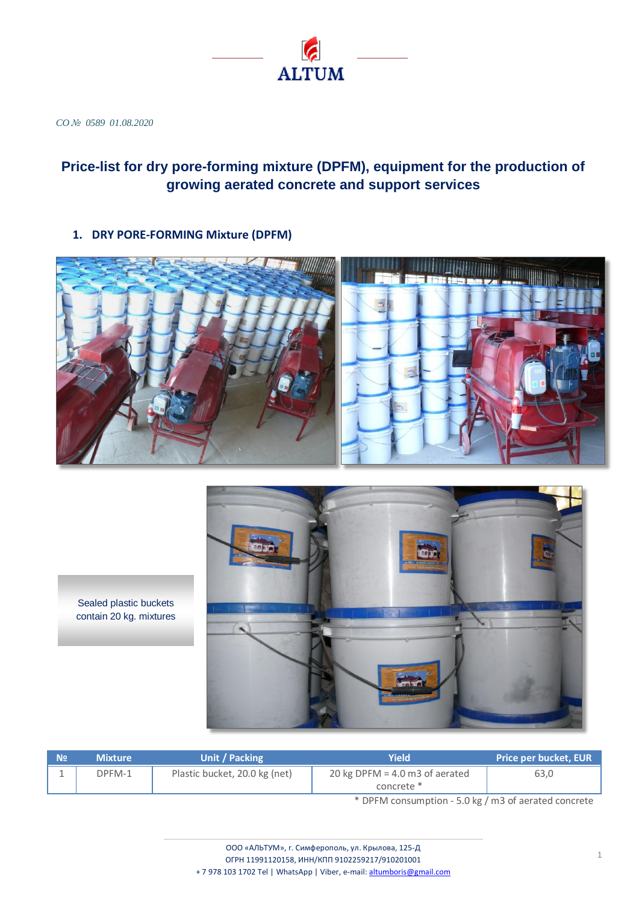

*CO № 0589 01.08.2020*

# **Price-list for dry pore-forming mixture (DPFM), equipment for the production of growing aerated concrete and support services**

**1. DRY PORE-FORMING Mixture (DPFM)**





Sealed plastic buckets contain 20 kg. mixtures

| <b>No</b> | <b>Mixture</b> | Unit / Packing                | Yield                                          | <b>Price per bucket, EUR</b> |  |
|-----------|----------------|-------------------------------|------------------------------------------------|------------------------------|--|
| ∸         | DPFM-1         | Plastic bucket, 20.0 kg (net) | 20 kg DPFM = $4.0$ m3 of aerated<br>concrete * | 63,0                         |  |
|           |                |                               |                                                |                              |  |

\* DPFM consumption - 5.0 kg / m3 of aerated concrete